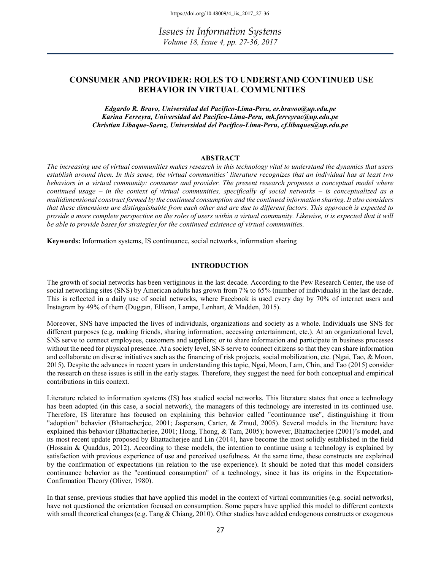Issues in Information Systems Volume 18, Issue 4, pp. 27-36, 2017

# CONSUMER AND PROVIDER: ROLES TO UNDERSTAND CONTINUED USE BEHAVIOR IN VIRTUAL COMMUNITIES

Edgardo R. Bravo, Universidad del Pacifico-Lima-Peru, er.bravoo@up.edu.pe Karina Ferreyra, Universidad del Pacifico-Lima-Peru, mk.ferreyrac@up.edu.pe Christian Libaque-Saenz, Universidad del Pacifico-Lima-Peru, cf.libaques@up.edu.pe

#### ABSTRACT

The increasing use of virtual communities makes research in this technology vital to understand the dynamics that users establish around them. In this sense, the virtual communities' literature recognizes that an individual has at least two behaviors in a virtual community: consumer and provider. The present research proposes a conceptual model where continued usage – in the context of virtual communities, specifically of social networks – is conceptualized as a multidimensional construct formed by the continued consumption and the continued information sharing. It also considers that these dimensions are distinguishable from each other and are due to different factors. This approach is expected to provide a more complete perspective on the roles of users within a virtual community. Likewise, it is expected that it will be able to provide bases for strategies for the continued existence of virtual communities.

Keywords: Information systems, IS continuance, social networks, information sharing

#### INTRODUCTION

The growth of social networks has been vertiginous in the last decade. According to the Pew Research Center, the use of social networking sites (SNS) by American adults has grown from 7% to 65% (number of individuals) in the last decade. This is reflected in a daily use of social networks, where Facebook is used every day by 70% of internet users and Instagram by 49% of them (Duggan, Ellison, Lampe, Lenhart, & Madden, 2015).

Moreover, SNS have impacted the lives of individuals, organizations and society as a whole. Individuals use SNS for different purposes (e.g. making friends, sharing information, accessing entertainment, etc.). At an organizational level, SNS serve to connect employees, customers and suppliers; or to share information and participate in business processes without the need for physical presence. At a society level, SNS serve to connect citizens so that they can share information and collaborate on diverse initiatives such as the financing of risk projects, social mobilization, etc. (Ngai, Tao, & Moon, 2015). Despite the advances in recent years in understanding this topic, Ngai, Moon, Lam, Chin, and Tao (2015) consider the research on these issues is still in the early stages. Therefore, they suggest the need for both conceptual and empirical contributions in this context.

Literature related to information systems (IS) has studied social networks. This literature states that once a technology has been adopted (in this case, a social network), the managers of this technology are interested in its continued use. Therefore, IS literature has focused on explaining this behavior called "continuance use", distinguishing it from "adoption" behavior (Bhattacherjee, 2001; Jasperson, Carter, & Zmud, 2005). Several models in the literature have explained this behavior (Bhattacherjee, 2001; Hong, Thong, & Tam, 2005); however, Bhattacherjee (2001)'s model, and its most recent update proposed by Bhattacherjee and Lin (2014), have become the most solidly established in the field (Hossain & Quaddus, 2012). According to these models, the intention to continue using a technology is explained by satisfaction with previous experience of use and perceived usefulness. At the same time, these constructs are explained by the confirmation of expectations (in relation to the use experience). It should be noted that this model considers continuance behavior as the "continued consumption" of a technology, since it has its origins in the Expectation-Confirmation Theory (Oliver, 1980).

In that sense, previous studies that have applied this model in the context of virtual communities (e.g. social networks), have not questioned the orientation focused on consumption. Some papers have applied this model to different contexts with small theoretical changes (e.g. Tang & Chiang, 2010). Other studies have added endogenous constructs or exogenous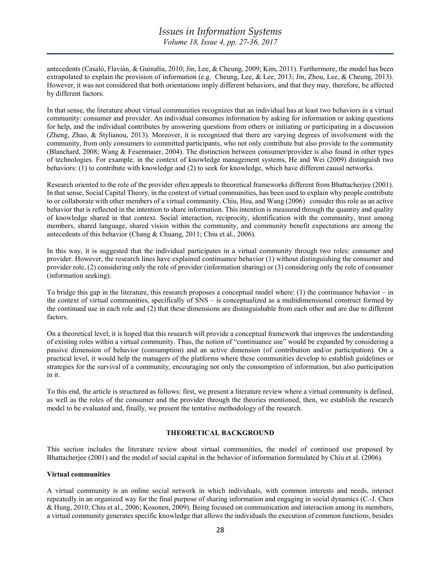antecedents (Casaló, Flavián, & Guinalíu, 2010; Jin, Lee, & Cheung, 2009; Kim, 2011). Furthermore, the model has been extrapolated to explain the provision of information (e.g. Cheung, Lee, & Lee, 2013; Jin, Zhou, Lee, & Cheung, 2013). However, it was not considered that both orientations imply different behaviors, and that they may, therefore, be affected by different factors.

In that sense, the literature about virtual communities recognizes that an individual has at least two behaviors in a virtual community: consumer and provider. An individual consumes information by asking for information or asking questions for help, and the individual contributes by answering questions from others or initiating or participating in a discussion (Zheng, Zhao, & Stylianou, 2013). Moreover, it is recognized that there are varying degrees of involvement with the community, from only consumers to committed participants, who not only contribute but also provide to the community (Blanchard, 2008; Wang & Fesenmaier, 2004). The distinction between consumer/provider is also found in other types of technologies. For example, in the context of knowledge management systems, He and Wei (2009) distinguish two behaviors: (1) to contribute with knowledge and (2) to seek for knowledge, which have different causal networks.

Research oriented to the role of the provider often appeals to theoretical frameworks different from Bhattacherjee (2001). In that sense, Social Capital Theory, in the context of virtual communities, has been used to explain why people contribute to or collaborate with other members of a virtual community. Chiu, Hsu, and Wang (2006) consider this role as an active behavior that is reflected in the intention to share information. This intention is measured through the quantity and quality of knowledge shared in that context. Social interaction, reciprocity, identification with the community, trust among members, shared language, shared vision within the community, and community benefit expectations are among the antecedents of this behavior (Chang & Chuang, 2011; Chiu et al., 2006).

In this way, it is suggested that the individual participates in a virtual community through two roles: consumer and provider. However, the research lines have explained continuance behavior (1) without distinguishing the consumer and provider role, (2) considering only the role of provider (information sharing) or (3) considering only the role of consumer (information seeking).

To bridge this gap in the literature, this research proposes a conceptual model where:  $(1)$  the continuance behavior – in the context of virtual communities, specifically of SNS – is conceptualized as a multidimensional construct formed by the continued use in each role and (2) that these dimensions are distinguishable from each other and are due to different factors.

On a theoretical level, it is hoped that this research will provide a conceptual framework that improves the understanding of existing roles within a virtual community. Thus, the notion of "continuance use" would be expanded by considering a passive dimension of behavior (consumption) and an active dimension (of contribution and/or participation). On a practical level, it would help the managers of the platforms where these communities develop to establish guidelines or strategies for the survival of a community, encouraging not only the consumption of information, but also participation in it.

To this end, the article is structured as follows: first, we present a literature review where a virtual community is defined, as well as the roles of the consumer and the provider through the theories mentioned, then, we establish the research model to be evaluated and, finally, we present the tentative methodology of the research.

# THEORETICAL BACKGROUND

This section includes the literature review about virtual communities, the model of continued use proposed by Bhattacherjee (2001) and the model of social capital in the behavior of information formulated by Chiu et al. (2006).

#### Virtual communities

A virtual community is an online social network in which individuals, with common interests and needs, interact repeatedly in an organized way for the final purpose of sharing information and engaging in social dynamics (C.-J. Chen & Hung, 2010; Chiu et al., 2006; Kosonen, 2009). Being focused on communication and interaction among its members, a virtual community generates specific knowledge that allows the individuals the execution of common functions, besides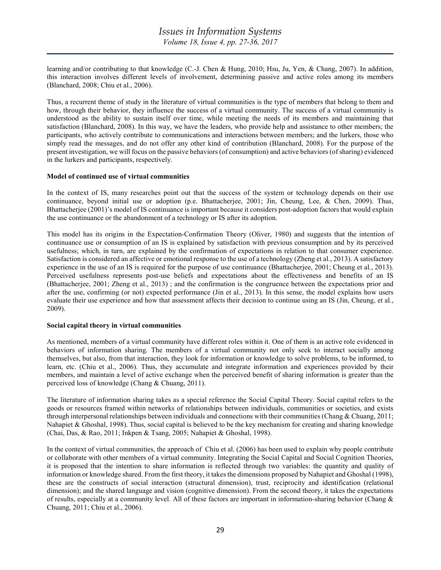learning and/or contributing to that knowledge (C.-J. Chen & Hung, 2010; Hsu, Ju, Yen, & Chang, 2007). In addition, this interaction involves different levels of involvement, determining passive and active roles among its members (Blanchard, 2008; Chiu et al., 2006).

Thus, a recurrent theme of study in the literature of virtual communities is the type of members that belong to them and how, through their behavior, they influence the success of a virtual community. The success of a virtual community is understood as the ability to sustain itself over time, while meeting the needs of its members and maintaining that satisfaction (Blanchard, 2008). In this way, we have the leaders, who provide help and assistance to other members; the participants, who actively contribute to communications and interactions between members; and the lurkers, those who simply read the messages, and do not offer any other kind of contribution (Blanchard, 2008). For the purpose of the present investigation, we will focus on the passive behaviors (of consumption) and active behaviors (of sharing) evidenced in the lurkers and participants, respectively.

#### Model of continued use of virtual communities

In the context of IS, many researches point out that the success of the system or technology depends on their use continuance, beyond initial use or adoption (p.e. Bhattacherjee, 2001; Jin, Cheung, Lee, & Chen, 2009). Thus, Bhattacherjee (2001)'s model of IS continuance is important because it considers post-adoption factors that would explain the use continuance or the abandonment of a technology or IS after its adoption.

This model has its origins in the Expectation-Confirmation Theory (Oliver, 1980) and suggests that the intention of continuance use or consumption of an IS is explained by satisfaction with previous consumption and by its perceived usefulness; which, in turn, are explained by the confirmation of expectations in relation to that consumer experience. Satisfaction is considered an affective or emotional response to the use of a technology (Zheng et al., 2013). A satisfactory experience in the use of an IS is required for the purpose of use continuance (Bhattacherjee, 2001; Cheung et al., 2013). Perceived usefulness represents post-use beliefs and expectations about the effectiveness and benefits of an IS (Bhattacherjee, 2001; Zheng et al., 2013) ; and the confirmation is the congruence between the expectations prior and after the use, confirming (or not) expected performance (Jin et al., 2013). In this sense, the model explains how users evaluate their use experience and how that assessment affects their decision to continue using an IS (Jin, Cheung, et al., 2009).

#### Social capital theory in virtual communities

As mentioned, members of a virtual community have different roles within it. One of them is an active role evidenced in behaviors of information sharing. The members of a virtual community not only seek to interact socially among themselves, but also, from that interaction, they look for information or knowledge to solve problems, to be informed, to learn, etc. (Chiu et al., 2006). Thus, they accumulate and integrate information and experiences provided by their members, and maintain a level of active exchange when the perceived benefit of sharing information is greater than the perceived loss of knowledge (Chang & Chuang, 2011).

The literature of information sharing takes as a special reference the Social Capital Theory. Social capital refers to the goods or resources framed within networks of relationships between individuals, communities or societies, and exists through interpersonal relationships between individuals and connections with their communities (Chang & Chuang, 2011; Nahapiet & Ghoshal, 1998). Thus, social capital is believed to be the key mechanism for creating and sharing knowledge (Chai, Das, & Rao, 2011; Inkpen & Tsang, 2005; Nahapiet & Ghoshal, 1998).

In the context of virtual communities, the approach of Chiu et al. (2006) has been used to explain why people contribute or collaborate with other members of a virtual community. Integrating the Social Capital and Social Cognition Theories, it is proposed that the intention to share information is reflected through two variables: the quantity and quality of information or knowledge shared. From the first theory, it takes the dimensions proposed by Nahapiet and Ghoshal (1998), these are the constructs of social interaction (structural dimension), trust, reciprocity and identification (relational dimension); and the shared language and vision (cognitive dimension). From the second theory, it takes the expectations of results, especially at a community level. All of these factors are important in information-sharing behavior (Chang & Chuang, 2011; Chiu et al., 2006).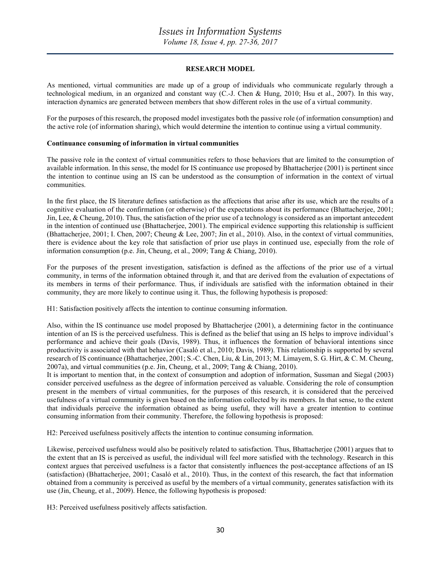#### RESEARCH MODEL

As mentioned, virtual communities are made up of a group of individuals who communicate regularly through a technological medium, in an organized and constant way (C.-J. Chen & Hung, 2010; Hsu et al., 2007). In this way, interaction dynamics are generated between members that show different roles in the use of a virtual community.

For the purposes of this research, the proposed model investigates both the passive role (of information consumption) and the active role (of information sharing), which would determine the intention to continue using a virtual community.

#### Continuance consuming of information in virtual communities

The passive role in the context of virtual communities refers to those behaviors that are limited to the consumption of available information. In this sense, the model for IS continuance use proposed by Bhattacherjee (2001) is pertinent since the intention to continue using an IS can be understood as the consumption of information in the context of virtual communities.

In the first place, the IS literature defines satisfaction as the affections that arise after its use, which are the results of a cognitive evaluation of the confirmation (or otherwise) of the expectations about its performance (Bhattacherjee, 2001; Jin, Lee, & Cheung, 2010). Thus, the satisfaction of the prior use of a technology is considered as an important antecedent in the intention of continued use (Bhattacherjee, 2001). The empirical evidence supporting this relationship is sufficient (Bhattacherjee, 2001; I. Chen, 2007; Cheung & Lee, 2007; Jin et al., 2010). Also, in the context of virtual communities, there is evidence about the key role that satisfaction of prior use plays in continued use, especially from the role of information consumption (p.e. Jin, Cheung, et al., 2009; Tang & Chiang, 2010).

For the purposes of the present investigation, satisfaction is defined as the affections of the prior use of a virtual community, in terms of the information obtained through it, and that are derived from the evaluation of expectations of its members in terms of their performance. Thus, if individuals are satisfied with the information obtained in their community, they are more likely to continue using it. Thus, the following hypothesis is proposed:

H1: Satisfaction positively affects the intention to continue consuming information.

Also, within the IS continuance use model proposed by Bhattacherjee (2001), a determining factor in the continuance intention of an IS is the perceived usefulness. This is defined as the belief that using an IS helps to improve individual's performance and achieve their goals (Davis, 1989). Thus, it influences the formation of behavioral intentions since productivity is associated with that behavior (Casaló et al., 2010; Davis, 1989). This relationship is supported by several research of IS continuance (Bhattacherjee, 2001; S.-C. Chen, Liu, & Lin, 2013; M. Limayem, S. G. Hirt, & C. M. Cheung, 2007a), and virtual communities (p.e. Jin, Cheung, et al., 2009; Tang & Chiang, 2010).

It is important to mention that, in the context of consumption and adoption of information, Sussman and Siegal (2003) consider perceived usefulness as the degree of information perceived as valuable. Considering the role of consumption present in the members of virtual communities, for the purposes of this research, it is considered that the perceived usefulness of a virtual community is given based on the information collected by its members. In that sense, to the extent that individuals perceive the information obtained as being useful, they will have a greater intention to continue consuming information from their community. Therefore, the following hypothesis is proposed:

H2: Perceived usefulness positively affects the intention to continue consuming information.

Likewise, perceived usefulness would also be positively related to satisfaction. Thus, Bhattacherjee (2001) argues that to the extent that an IS is perceived as useful, the individual will feel more satisfied with the technology. Research in this context argues that perceived usefulness is a factor that consistently influences the post-acceptance affections of an IS (satisfaction) (Bhattacherjee, 2001; Casaló et al., 2010). Thus, in the context of this research, the fact that information obtained from a community is perceived as useful by the members of a virtual community, generates satisfaction with its use (Jin, Cheung, et al., 2009). Hence, the following hypothesis is proposed:

H3: Perceived usefulness positively affects satisfaction.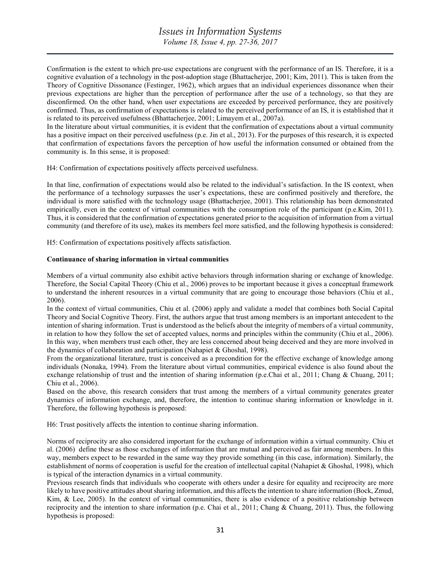Confirmation is the extent to which pre-use expectations are congruent with the performance of an IS. Therefore, it is a cognitive evaluation of a technology in the post-adoption stage (Bhattacherjee, 2001; Kim, 2011). This is taken from the Theory of Cognitive Dissonance (Festinger, 1962), which argues that an individual experiences dissonance when their previous expectations are higher than the perception of performance after the use of a technology, so that they are disconfirmed. On the other hand, when user expectations are exceeded by perceived performance, they are positively confirmed. Thus, as confirmation of expectations is related to the perceived performance of an IS, it is established that it is related to its perceived usefulness (Bhattacherjee, 2001; Limayem et al., 2007a).

In the literature about virtual communities, it is evident that the confirmation of expectations about a virtual community has a positive impact on their perceived usefulness (p.e. Jin et al., 2013). For the purposes of this research, it is expected that confirmation of expectations favors the perception of how useful the information consumed or obtained from the community is. In this sense, it is proposed:

H4: Confirmation of expectations positively affects perceived usefulness.

In that line, confirmation of expectations would also be related to the individual's satisfaction. In the IS context, when the performance of a technology surpasses the user's expectations, these are confirmed positively and therefore, the individual is more satisfied with the technology usage (Bhattacherjee, 2001). This relationship has been demonstrated empirically, even in the context of virtual communities with the consumption role of the participant (p.e.Kim, 2011). Thus, it is considered that the confirmation of expectations generated prior to the acquisition of information from a virtual community (and therefore of its use), makes its members feel more satisfied, and the following hypothesis is considered:

H5: Confirmation of expectations positively affects satisfaction.

#### Continuance of sharing information in virtual communities

Members of a virtual community also exhibit active behaviors through information sharing or exchange of knowledge. Therefore, the Social Capital Theory (Chiu et al., 2006) proves to be important because it gives a conceptual framework to understand the inherent resources in a virtual community that are going to encourage those behaviors (Chiu et al., 2006).

In the context of virtual communities, Chiu et al. (2006) apply and validate a model that combines both Social Capital Theory and Social Cognitive Theory. First, the authors argue that trust among members is an important antecedent to the intention of sharing information. Trust is understood as the beliefs about the integrity of members of a virtual community, in relation to how they follow the set of accepted values, norms and principles within the community (Chiu et al., 2006). In this way, when members trust each other, they are less concerned about being deceived and they are more involved in the dynamics of collaboration and participation (Nahapiet & Ghoshal, 1998).

From the organizational literature, trust is conceived as a precondition for the effective exchange of knowledge among individuals (Nonaka, 1994). From the literature about virtual communities, empirical evidence is also found about the exchange relationship of trust and the intention of sharing information (p.e.Chai et al., 2011; Chang & Chuang, 2011; Chiu et al., 2006).

Based on the above, this research considers that trust among the members of a virtual community generates greater dynamics of information exchange, and, therefore, the intention to continue sharing information or knowledge in it. Therefore, the following hypothesis is proposed:

H6: Trust positively affects the intention to continue sharing information.

Norms of reciprocity are also considered important for the exchange of information within a virtual community. Chiu et al. (2006) define these as those exchanges of information that are mutual and perceived as fair among members. In this way, members expect to be rewarded in the same way they provide something (in this case, information). Similarly, the establishment of norms of cooperation is useful for the creation of intellectual capital (Nahapiet & Ghoshal, 1998), which is typical of the interaction dynamics in a virtual community.

Previous research finds that individuals who cooperate with others under a desire for equality and reciprocity are more likely to have positive attitudes about sharing information, and this affects the intention to share information (Bock, Zmud, Kim, & Lee, 2005). In the context of virtual communities, there is also evidence of a positive relationship between reciprocity and the intention to share information (p.e. Chai et al., 2011; Chang  $\&$  Chuang, 2011). Thus, the following hypothesis is proposed: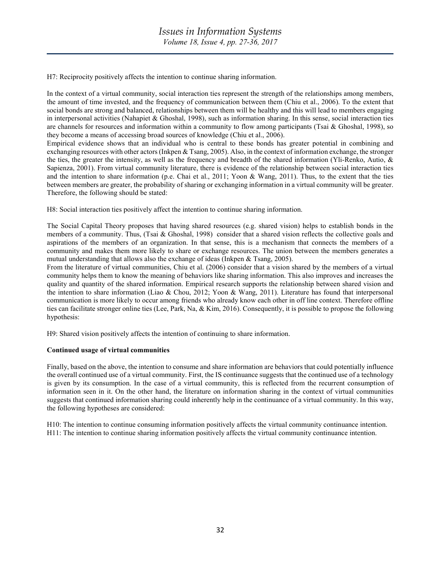H7: Reciprocity positively affects the intention to continue sharing information.

In the context of a virtual community, social interaction ties represent the strength of the relationships among members, the amount of time invested, and the frequency of communication between them (Chiu et al., 2006). To the extent that social bonds are strong and balanced, relationships between them will be healthy and this will lead to members engaging in interpersonal activities (Nahapiet & Ghoshal, 1998), such as information sharing. In this sense, social interaction ties are channels for resources and information within a community to flow among participants (Tsai & Ghoshal, 1998), so they become a means of accessing broad sources of knowledge (Chiu et al., 2006).

Empirical evidence shows that an individual who is central to these bonds has greater potential in combining and exchanging resources with other actors (Inkpen & Tsang, 2005). Also, in the context of information exchange, the stronger the ties, the greater the intensity, as well as the frequency and breadth of the shared information (Yli-Renko, Autio, & Sapienza, 2001). From virtual community literature, there is evidence of the relationship between social interaction ties and the intention to share information (p.e. Chai et al., 2011; Yoon & Wang, 2011). Thus, to the extent that the ties between members are greater, the probability of sharing or exchanging information in a virtual community will be greater. Therefore, the following should be stated:

H8: Social interaction ties positively affect the intention to continue sharing information.

The Social Capital Theory proposes that having shared resources (e.g. shared vision) helps to establish bonds in the members of a community. Thus, (Tsai & Ghoshal, 1998) consider that a shared vision reflects the collective goals and aspirations of the members of an organization. In that sense, this is a mechanism that connects the members of a community and makes them more likely to share or exchange resources. The union between the members generates a mutual understanding that allows also the exchange of ideas (Inkpen & Tsang, 2005).

From the literature of virtual communities, Chiu et al. (2006) consider that a vision shared by the members of a virtual community helps them to know the meaning of behaviors like sharing information. This also improves and increases the quality and quantity of the shared information. Empirical research supports the relationship between shared vision and the intention to share information (Liao & Chou, 2012; Yoon & Wang, 2011). Literature has found that interpersonal communication is more likely to occur among friends who already know each other in off line context. Therefore offline ties can facilitate stronger online ties (Lee, Park, Na, & Kim, 2016). Consequently, it is possible to propose the following hypothesis:

H9: Shared vision positively affects the intention of continuing to share information.

# Continued usage of virtual communities

Finally, based on the above, the intention to consume and share information are behaviors that could potentially influence the overall continued use of a virtual community. First, the IS continuance suggests that the continued use of a technology is given by its consumption. In the case of a virtual community, this is reflected from the recurrent consumption of information seen in it. On the other hand, the literature on information sharing in the context of virtual communities suggests that continued information sharing could inherently help in the continuance of a virtual community. In this way, the following hypotheses are considered:

H10: The intention to continue consuming information positively affects the virtual community continuance intention. H11: The intention to continue sharing information positively affects the virtual community continuance intention.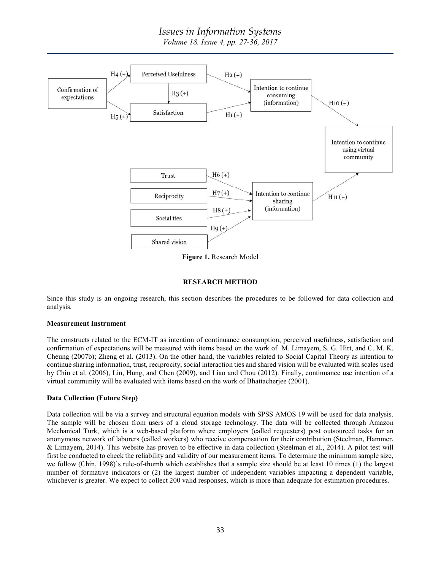# Issues in Information Systems

Volume 18, Issue 4, pp. 27-36, 2017



Figure 1. Research Model

# RESEARCH METHOD

Since this study is an ongoing research, this section describes the procedures to be followed for data collection and analysis.

# Measurement Instrument

The constructs related to the ECM-IT as intention of continuance consumption, perceived usefulness, satisfaction and confirmation of expectations will be measured with items based on the work of M. Limayem, S. G. Hirt, and C. M. K. Cheung (2007b); Zheng et al. (2013). On the other hand, the variables related to Social Capital Theory as intention to continue sharing information, trust, reciprocity, social interaction ties and shared vision will be evaluated with scales used by Chiu et al. (2006), Lin, Hung, and Chen (2009), and Liao and Chou (2012). Finally, continuance use intention of a virtual community will be evaluated with items based on the work of Bhattacherjee (2001).

# Data Collection (Future Step)

Data collection will be via a survey and structural equation models with SPSS AMOS 19 will be used for data analysis. The sample will be chosen from users of a cloud storage technology. The data will be collected through Amazon Mechanical Turk, which is a web-based platform where employers (called requesters) post outsourced tasks for an anonymous network of laborers (called workers) who receive compensation for their contribution (Steelman, Hammer, & Limayem, 2014). This website has proven to be effective in data collection (Steelman et al., 2014). A pilot test will first be conducted to check the reliability and validity of our measurement items. To determine the minimum sample size, we follow (Chin, 1998)'s rule-of-thumb which establishes that a sample size should be at least 10 times (1) the largest number of formative indicators or (2) the largest number of independent variables impacting a dependent variable, whichever is greater. We expect to collect 200 valid responses, which is more than adequate for estimation procedures.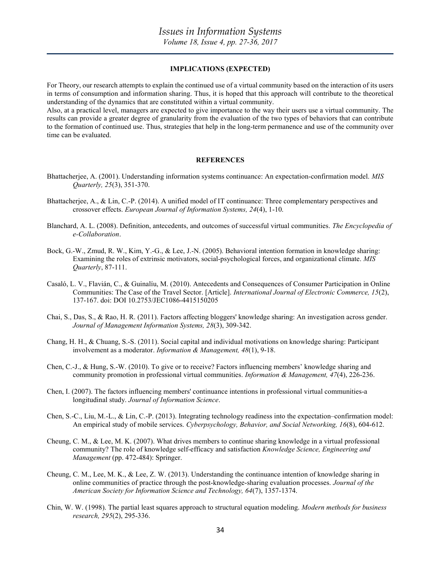#### IMPLICATIONS (EXPECTED)

For Theory, our research attempts to explain the continued use of a virtual community based on the interaction of its users in terms of consumption and information sharing. Thus, it is hoped that this approach will contribute to the theoretical understanding of the dynamics that are constituted within a virtual community.

Also, at a practical level, managers are expected to give importance to the way their users use a virtual community. The results can provide a greater degree of granularity from the evaluation of the two types of behaviors that can contribute to the formation of continued use. Thus, strategies that help in the long-term permanence and use of the community over time can be evaluated.

#### **REFERENCES**

- Bhattacherjee, A. (2001). Understanding information systems continuance: An expectation-confirmation model. MIS Quarterly, 25(3), 351-370.
- Bhattacherjee, A., & Lin, C.-P. (2014). A unified model of IT continuance: Three complementary perspectives and crossover effects. European Journal of Information Systems, 24(4), 1-10.
- Blanchard, A. L. (2008). Definition, antecedents, and outcomes of successful virtual communities. The Encyclopedia of e-Collaboration.
- Bock, G.-W., Zmud, R. W., Kim, Y.-G., & Lee, J.-N. (2005). Behavioral intention formation in knowledge sharing: Examining the roles of extrinsic motivators, social-psychological forces, and organizational climate. MIS Quarterly, 87-111.
- Casaló, L. V., Flavián, C., & Guinalíu, M. (2010). Antecedents and Consequences of Consumer Participation in Online Communities: The Case of the Travel Sector. [Article]. International Journal of Electronic Commerce, 15(2), 137-167. doi: DOI 10.2753/JEC1086-4415150205
- Chai, S., Das, S., & Rao, H. R. (2011). Factors affecting bloggers' knowledge sharing: An investigation across gender. Journal of Management Information Systems, 28(3), 309-342.
- Chang, H. H., & Chuang, S.-S. (2011). Social capital and individual motivations on knowledge sharing: Participant involvement as a moderator. Information & Management, 48(1), 9-18.
- Chen, C.-J., & Hung, S.-W. (2010). To give or to receive? Factors influencing members' knowledge sharing and community promotion in professional virtual communities. Information & Management, 47(4), 226-236.
- Chen, I. (2007). The factors influencing members' continuance intentions in professional virtual communities-a longitudinal study. Journal of Information Science.
- Chen, S.-C., Liu, M.-L., & Lin, C.-P. (2013). Integrating technology readiness into the expectation–confirmation model: An empirical study of mobile services. Cyberpsychology, Behavior, and Social Networking, 16(8), 604-612.
- Cheung, C. M., & Lee, M. K. (2007). What drives members to continue sharing knowledge in a virtual professional community? The role of knowledge self-efficacy and satisfaction Knowledge Science, Engineering and Management (pp. 472-484): Springer.
- Cheung, C. M., Lee, M. K., & Lee, Z. W. (2013). Understanding the continuance intention of knowledge sharing in online communities of practice through the post-knowledge-sharing evaluation processes. Journal of the American Society for Information Science and Technology, 64(7), 1357-1374.
- Chin, W. W. (1998). The partial least squares approach to structural equation modeling. Modern methods for business research, 295(2), 295-336.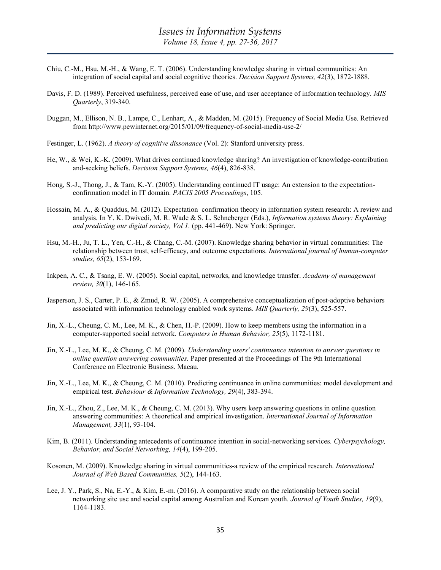- Chiu, C.-M., Hsu, M.-H., & Wang, E. T. (2006). Understanding knowledge sharing in virtual communities: An integration of social capital and social cognitive theories. Decision Support Systems, 42(3), 1872-1888.
- Davis, F. D. (1989). Perceived usefulness, perceived ease of use, and user acceptance of information technology. MIS Quarterly, 319-340.
- Duggan, M., Ellison, N. B., Lampe, C., Lenhart, A., & Madden, M. (2015). Frequency of Social Media Use. Retrieved from http://www.pewinternet.org/2015/01/09/frequency-of-social-media-use-2/
- Festinger, L. (1962). A theory of cognitive dissonance (Vol. 2): Stanford university press.
- He, W., & Wei, K.-K. (2009). What drives continued knowledge sharing? An investigation of knowledge-contribution and-seeking beliefs. Decision Support Systems, 46(4), 826-838.
- Hong, S.-J., Thong, J., & Tam, K.-Y. (2005). Understanding continued IT usage: An extension to the expectationconfirmation model in IT domain. PACIS 2005 Proceedings, 105.
- Hossain, M. A., & Quaddus, M. (2012). Expectation–confirmation theory in information system research: A review and analysis. In Y. K. Dwivedi, M. R. Wade & S. L. Schneberger (Eds.), Information systems theory: Explaining and predicting our digital society, Vol 1. (pp. 441-469). New York: Springer.
- Hsu, M.-H., Ju, T. L., Yen, C.-H., & Chang, C.-M. (2007). Knowledge sharing behavior in virtual communities: The relationship between trust, self-efficacy, and outcome expectations. International journal of human-computer studies, 65(2), 153-169.
- Inkpen, A. C., & Tsang, E. W. (2005). Social capital, networks, and knowledge transfer. Academy of management review, 30(1), 146-165.
- Jasperson, J. S., Carter, P. E., & Zmud, R. W. (2005). A comprehensive conceptualization of post-adoptive behaviors associated with information technology enabled work systems. MIS Quarterly, 29(3), 525-557.
- Jin, X.-L., Cheung, C. M., Lee, M. K., & Chen, H.-P. (2009). How to keep members using the information in a computer-supported social network. Computers in Human Behavior, 25(5), 1172-1181.
- Jin, X.-L., Lee, M. K., & Cheung, C. M. (2009). Understanding users' continuance intention to answer questions in online question answering communities. Paper presented at the Proceedings of The 9th International Conference on Electronic Business. Macau.
- Jin, X.-L., Lee, M. K., & Cheung, C. M. (2010). Predicting continuance in online communities: model development and empirical test. Behaviour & Information Technology, 29(4), 383-394.
- Jin, X.-L., Zhou, Z., Lee, M. K., & Cheung, C. M. (2013). Why users keep answering questions in online question answering communities: A theoretical and empirical investigation. International Journal of Information Management, 33(1), 93-104.
- Kim, B. (2011). Understanding antecedents of continuance intention in social-networking services. Cyberpsychology, Behavior, and Social Networking, 14(4), 199-205.
- Kosonen, M. (2009). Knowledge sharing in virtual communities-a review of the empirical research. International Journal of Web Based Communities, 5(2), 144-163.
- Lee, J. Y., Park, S., Na, E.-Y., & Kim, E.-m. (2016). A comparative study on the relationship between social networking site use and social capital among Australian and Korean youth. Journal of Youth Studies, 19(9), 1164-1183.